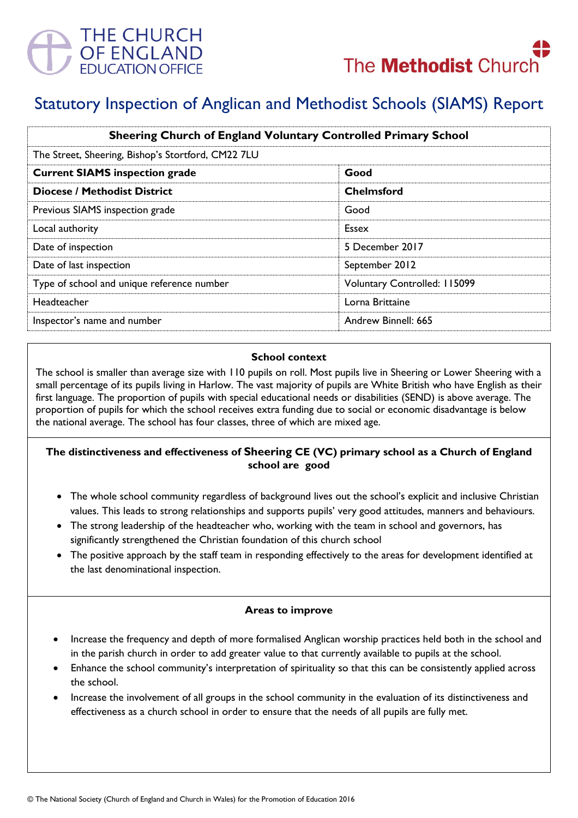



# Statutory Inspection of Anglican and Methodist Schools (SIAMS) Report

| <b>Sheering Church of England Voluntary Controlled Primary School</b><br>The Street, Sheering, Bishop's Stortford, CM22 7LU |                              |
|-----------------------------------------------------------------------------------------------------------------------------|------------------------------|
|                                                                                                                             |                              |
| <b>Diocese / Methodist District</b>                                                                                         | <b>Chelmsford</b>            |
| Previous SIAMS inspection grade                                                                                             | Good                         |
| Local authority                                                                                                             | Essex                        |
| Date of inspection                                                                                                          | 5 December 2017              |
| Date of last inspection                                                                                                     | September 2012               |
| Type of school and unique reference number                                                                                  | Voluntary Controlled: 115099 |
| Headteacher                                                                                                                 | Lorna Brittaine              |
| Inspector's name and number                                                                                                 | Andrew Binnell: 665          |

#### **School context**

The school is smaller than average size with 110 pupils on roll. Most pupils live in Sheering or Lower Sheering with a small percentage of its pupils living in Harlow. The vast majority of pupils are White British who have English as their first language. The proportion of pupils with special educational needs or disabilities (SEND) is above average. The proportion of pupils for which the school receives extra funding due to social or economic disadvantage is below the national average. The school has four classes, three of which are mixed age.

## **The distinctiveness and effectiveness of Sheering CE (VC) primary school as a Church of England school are good**

- The whole school community regardless of background lives out the school's explicit and inclusive Christian values. This leads to strong relationships and supports pupils' very good attitudes, manners and behaviours.
- The strong leadership of the headteacher who, working with the team in school and governors, has significantly strengthened the Christian foundation of this church school
- The positive approach by the staff team in responding effectively to the areas for development identified at the last denominational inspection.

## **Areas to improve**

- Increase the frequency and depth of more formalised Anglican worship practices held both in the school and in the parish church in order to add greater value to that currently available to pupils at the school.
- Enhance the school community's interpretation of spirituality so that this can be consistently applied across the school.
- Increase the involvement of all groups in the school community in the evaluation of its distinctiveness and effectiveness as a church school in order to ensure that the needs of all pupils are fully met.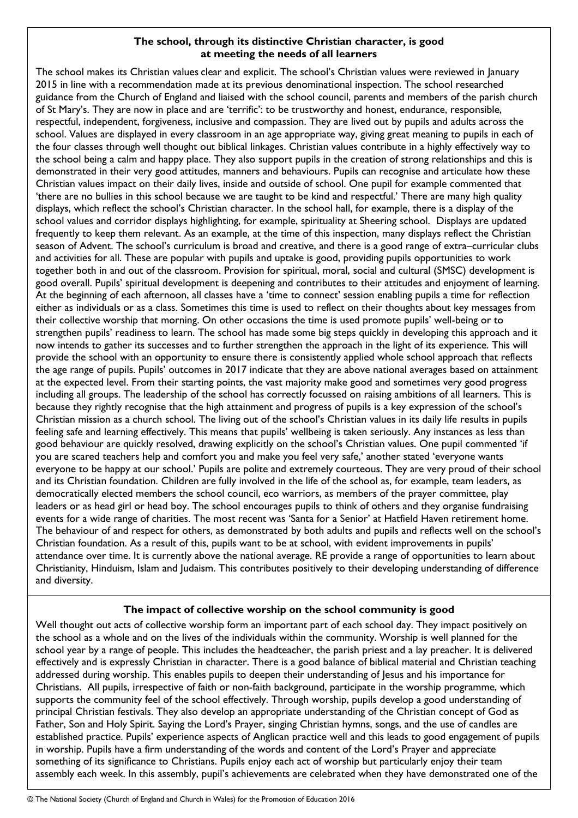## **The school, through its distinctive Christian character, is good at meeting the needs of all learners**

The school makes its Christian values clear and explicit. The school's Christian values were reviewed in January 2015 in line with a recommendation made at its previous denominational inspection. The school researched guidance from the Church of England and liaised with the school council, parents and members of the parish church of St Mary's. They are now in place and are 'terrific': to be trustworthy and honest, endurance, responsible, respectful, independent, forgiveness, inclusive and compassion. They are lived out by pupils and adults across the school. Values are displayed in every classroom in an age appropriate way, giving great meaning to pupils in each of the four classes through well thought out biblical linkages. Christian values contribute in a highly effectively way to the school being a calm and happy place. They also support pupils in the creation of strong relationships and this is demonstrated in their very good attitudes, manners and behaviours. Pupils can recognise and articulate how these Christian values impact on their daily lives, inside and outside of school. One pupil for example commented that 'there are no bullies in this school because we are taught to be kind and respectful.' There are many high quality displays, which reflect the school's Christian character. In the school hall, for example, there is a display of the school values and corridor displays highlighting, for example, spirituality at Sheering school. Displays are updated frequently to keep them relevant. As an example, at the time of this inspection, many displays reflect the Christian season of Advent. The school's curriculum is broad and creative, and there is a good range of extra–curricular clubs and activities for all. These are popular with pupils and uptake is good, providing pupils opportunities to work together both in and out of the classroom. Provision for spiritual, moral, social and cultural (SMSC) development is good overall. Pupils' spiritual development is deepening and contributes to their attitudes and enjoyment of learning. At the beginning of each afternoon, all classes have a 'time to connect' session enabling pupils a time for reflection either as individuals or as a class. Sometimes this time is used to reflect on their thoughts about key messages from their collective worship that morning. On other occasions the time is used promote pupils' well-being or to strengthen pupils' readiness to learn. The school has made some big steps quickly in developing this approach and it now intends to gather its successes and to further strengthen the approach in the light of its experience. This will provide the school with an opportunity to ensure there is consistently applied whole school approach that reflects the age range of pupils. Pupils' outcomes in 2017 indicate that they are above national averages based on attainment at the expected level. From their starting points, the vast majority make good and sometimes very good progress including all groups. The leadership of the school has correctly focussed on raising ambitions of all learners. This is because they rightly recognise that the high attainment and progress of pupils is a key expression of the school's Christian mission as a church school. The living out of the school's Christian values in its daily life results in pupils feeling safe and learning effectively. This means that pupils' wellbeing is taken seriously. Any instances as less than good behaviour are quickly resolved, drawing explicitly on the school's Christian values. One pupil commented 'if you are scared teachers help and comfort you and make you feel very safe,' another stated 'everyone wants everyone to be happy at our school.' Pupils are polite and extremely courteous. They are very proud of their school and its Christian foundation. Children are fully involved in the life of the school as, for example, team leaders, as democratically elected members the school council, eco warriors, as members of the prayer committee, play leaders or as head girl or head boy. The school encourages pupils to think of others and they organise fundraising events for a wide range of charities. The most recent was 'Santa for a Senior' at Hatfield Haven retirement home. The behaviour of and respect for others, as demonstrated by both adults and pupils and reflects well on the school's Christian foundation. As a result of this, pupils want to be at school, with evident improvements in pupils' attendance over time. It is currently above the national average. RE provide a range of opportunities to learn about Christianity, Hinduism, Islam and Judaism. This contributes positively to their developing understanding of difference and diversity.

## **The impact of collective worship on the school community is good**

Well thought out acts of collective worship form an important part of each school day. They impact positively on the school as a whole and on the lives of the individuals within the community. Worship is well planned for the school year by a range of people. This includes the headteacher, the parish priest and a lay preacher. It is delivered effectively and is expressly Christian in character. There is a good balance of biblical material and Christian teaching addressed during worship. This enables pupils to deepen their understanding of Jesus and his importance for Christians. All pupils, irrespective of faith or non-faith background, participate in the worship programme, which supports the community feel of the school effectively. Through worship, pupils develop a good understanding of principal Christian festivals. They also develop an appropriate understanding of the Christian concept of God as Father, Son and Holy Spirit. Saying the Lord's Prayer, singing Christian hymns, songs, and the use of candles are established practice. Pupils' experience aspects of Anglican practice well and this leads to good engagement of pupils in worship. Pupils have a firm understanding of the words and content of the Lord's Prayer and appreciate something of its significance to Christians. Pupils enjoy each act of worship but particularly enjoy their team assembly each week. In this assembly, pupil's achievements are celebrated when they have demonstrated one of the